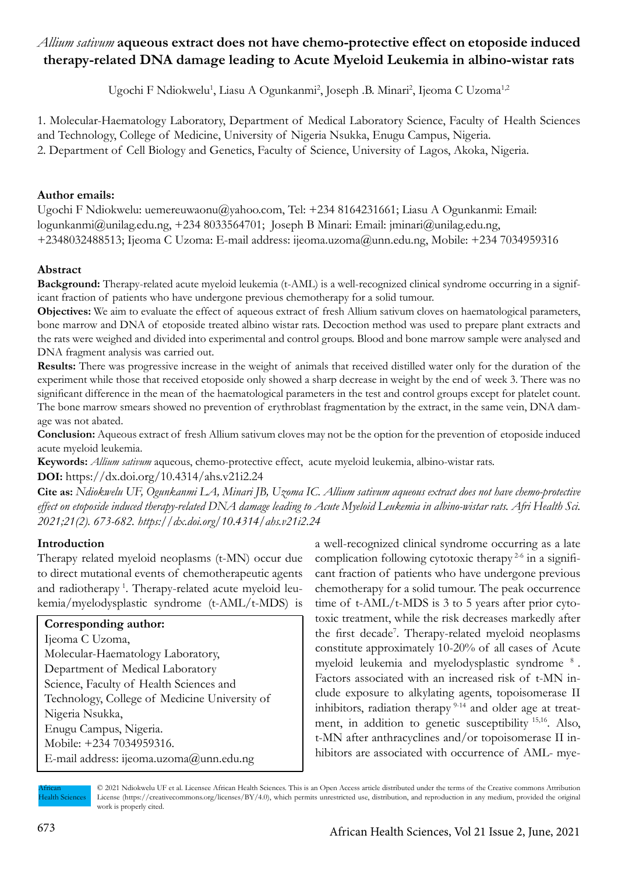# *Allium sativum* **aqueous extract does not have chemo-protective effect on etoposide induced therapy-related DNA damage leading to Acute Myeloid Leukemia in albino-wistar rats**

Ugochi F Ndiokwelu<sup>1</sup>, Liasu A Ogunkanmi<sup>2</sup>, Joseph .B. Minari<sup>2</sup>, Ijeoma C Uzoma<sup>1,2</sup>

1. Molecular-Haematology Laboratory, Department of Medical Laboratory Science, Faculty of Health Sciences and Technology, College of Medicine, University of Nigeria Nsukka, Enugu Campus, Nigeria. 2. Department of Cell Biology and Genetics, Faculty of Science, University of Lagos, Akoka, Nigeria.

# **Author emails:**

Ugochi F Ndiokwelu: uemereuwaonu@yahoo.com, Tel: +234 8164231661; Liasu A Ogunkanmi: Email: logunkanmi@unilag.edu.ng, +234 8033564701; Joseph B Minari: Email: jminari@unilag.edu.ng, +2348032488513; Ijeoma C Uzoma: E-mail address: ijeoma.uzoma@unn.edu.ng, Mobile: +234 7034959316

# **Abstract**

**Background:** Therapy-related acute myeloid leukemia (t-AML) is a well-recognized clinical syndrome occurring in a significant fraction of patients who have undergone previous chemotherapy for a solid tumour.

**Objectives:** We aim to evaluate the effect of aqueous extract of fresh Allium sativum cloves on haematological parameters, bone marrow and DNA of etoposide treated albino wistar rats. Decoction method was used to prepare plant extracts and the rats were weighed and divided into experimental and control groups. Blood and bone marrow sample were analysed and DNA fragment analysis was carried out.

**Results:** There was progressive increase in the weight of animals that received distilled water only for the duration of the experiment while those that received etoposide only showed a sharp decrease in weight by the end of week 3. There was no significant difference in the mean of the haematological parameters in the test and control groups except for platelet count. The bone marrow smears showed no prevention of erythroblast fragmentation by the extract, in the same vein, DNA damage was not abated.

**Conclusion:** Aqueous extract of fresh Allium sativum cloves may not be the option for the prevention of etoposide induced acute myeloid leukemia.

**Keywords:** *Allium sativum* aqueous, chemo-protective effect, acute myeloid leukemia, albino-wistar rats. **DOI:** https://dx.doi.org/10.4314/ahs.v21i2.24

**Cite as:** *Ndiokwelu UF, Ogunkanmi LA, Minari JB, Uzoma IC. Allium sativum aqueous extract does not have chemo-protective effect on etoposide induced therapy-related DNA damage leading to Acute Myeloid Leukemia in albino-wistar rats. Afri Health Sci. 2021;21(2). 673-682. https://dx.doi.org/10.4314/ahs.v21i2.24*

# **Introduction**

Therapy related myeloid neoplasms (t-MN) occur due to direct mutational events of chemotherapeutic agents and radiotherapy<sup>1</sup>. Therapy-related acute myeloid leukemia/myelodysplastic syndrome (t-AML/t-MDS) is

# **Corresponding author:**

Ijeoma C Uzoma, Molecular-Haematology Laboratory, Department of Medical Laboratory Science, Faculty of Health Sciences and Technology, College of Medicine University of Nigeria Nsukka, Enugu Campus, Nigeria. Mobile: +234 7034959316. E-mail address: ijeoma.uzoma@unn.edu.ng

a well-recognized clinical syndrome occurring as a late complication following cytotoxic therapy  $2-6$  in a significant fraction of patients who have undergone previous chemotherapy for a solid tumour. The peak occurrence time of t-AML/t-MDS is 3 to 5 years after prior cytotoxic treatment, while the risk decreases markedly after the first decade<sup>7</sup>. Therapy-related myeloid neoplasms constitute approximately 10-20% of all cases of Acute myeloid leukemia and myelodysplastic syndrome 8 . Factors associated with an increased risk of t-MN include exposure to alkylating agents, topoisomerase II inhibitors, radiation therapy  $9-14$  and older age at treatment, in addition to genetic susceptibility 15,16. Also, t-MN after anthracyclines and/or topoisomerase II inhibitors are associated with occurrence of AML- mye-



<sup>© 2021</sup> Ndiokwelu UF et al. Licensee African Health Sciences. This is an Open Access article distributed under the terms of the Creative commons Attribution License (https://creativecommons.org/licenses/BY/4.0), which permits unrestricted use, distribution, and reproduction in any medium, provided the original work is properly cited.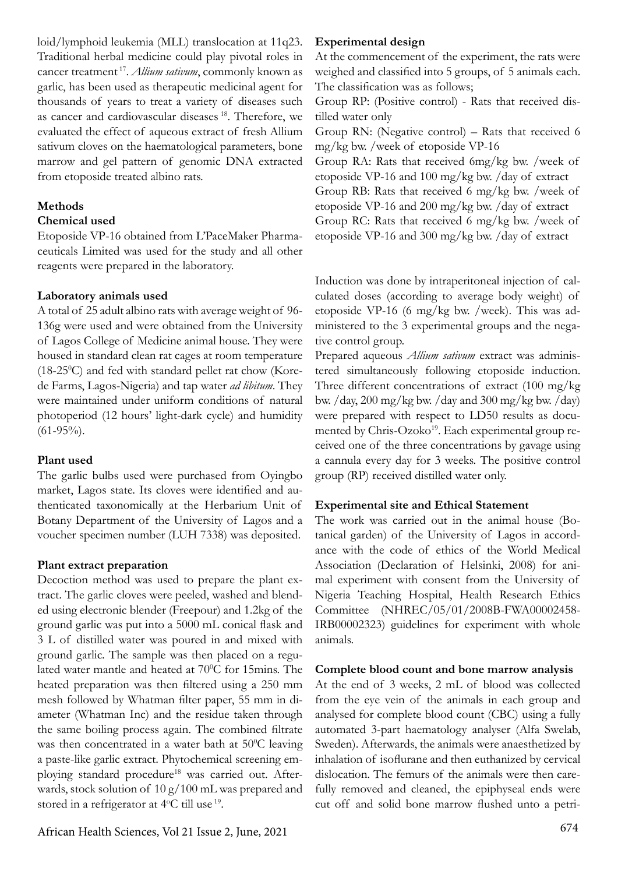loid/lymphoid leukemia (MLL) translocation at 11q23. Traditional herbal medicine could play pivotal roles in cancer treatment 17. *Allium sativum*, commonly known as garlic, has been used as therapeutic medicinal agent for thousands of years to treat a variety of diseases such as cancer and cardiovascular diseases 18. Therefore, we evaluated the effect of aqueous extract of fresh Allium sativum cloves on the haematological parameters, bone marrow and gel pattern of genomic DNA extracted from etoposide treated albino rats.

### **Methods**

#### **Chemical used**

Etoposide VP-16 obtained from L'PaceMaker Pharmaceuticals Limited was used for the study and all other reagents were prepared in the laboratory.

#### **Laboratory animals used**

A total of 25 adult albino rats with average weight of 96- 136g were used and were obtained from the University of Lagos College of Medicine animal house. They were housed in standard clean rat cages at room temperature  $(18-25\degree C)$  and fed with standard pellet rat chow (Korede Farms, Lagos-Nigeria) and tap water *ad libitum*. They were maintained under uniform conditions of natural photoperiod (12 hours' light-dark cycle) and humidity  $(61-95\%)$ .

#### **Plant used**

The garlic bulbs used were purchased from Oyingbo market, Lagos state. Its cloves were identified and authenticated taxonomically at the Herbarium Unit of Botany Department of the University of Lagos and a voucher specimen number (LUH 7338) was deposited.

# **Plant extract preparation**

Decoction method was used to prepare the plant extract. The garlic cloves were peeled, washed and blended using electronic blender (Freepour) and 1.2kg of the ground garlic was put into a 5000 mL conical flask and 3 L of distilled water was poured in and mixed with ground garlic. The sample was then placed on a regulated water mantle and heated at 70°C for 15mins. The heated preparation was then filtered using a 250 mm mesh followed by Whatman filter paper, 55 mm in diameter (Whatman Inc) and the residue taken through the same boiling process again. The combined filtrate was then concentrated in a water bath at  $50^{\circ}$ C leaving a paste-like garlic extract. Phytochemical screening employing standard procedure<sup>18</sup> was carried out. Afterwards, stock solution of 10 g/100 mL was prepared and stored in a refrigerator at 4°C till use <sup>19</sup>.

#### **Experimental design**

At the commencement of the experiment, the rats were weighed and classified into 5 groups, of 5 animals each. The classification was as follows;

Group RP: (Positive control) - Rats that received distilled water only

Group RN: (Negative control) – Rats that received 6 mg/kg bw. /week of etoposide VP-16

Group RA: Rats that received 6mg/kg bw. /week of etoposide VP-16 and 100 mg/kg bw. /day of extract Group RB: Rats that received 6 mg/kg bw. /week of etoposide VP-16 and 200 mg/kg bw. /day of extract Group RC: Rats that received 6 mg/kg bw. /week of etoposide VP-16 and 300 mg/kg bw. /day of extract

Induction was done by intraperitoneal injection of calculated doses (according to average body weight) of etoposide VP-16 (6 mg/kg bw. /week). This was administered to the 3 experimental groups and the negative control group.

Prepared aqueous *Allium sativum* extract was administered simultaneously following etoposide induction. Three different concentrations of extract (100 mg/kg bw. /day, 200 mg/kg bw. /day and 300 mg/kg bw. /day) were prepared with respect to LD50 results as documented by Chris-Ozoko<sup>19</sup>. Each experimental group received one of the three concentrations by gavage using a cannula every day for 3 weeks. The positive control group (RP) received distilled water only.

#### **Experimental site and Ethical Statement**

The work was carried out in the animal house (Botanical garden) of the University of Lagos in accordance with the code of ethics of the World Medical Association (Declaration of Helsinki, 2008) for animal experiment with consent from the University of Nigeria Teaching Hospital, Health Research Ethics Committee (NHREC/05/01/2008B-FWA00002458- IRB00002323) guidelines for experiment with whole animals.

#### **Complete blood count and bone marrow analysis**

At the end of 3 weeks, 2 mL of blood was collected from the eye vein of the animals in each group and analysed for complete blood count (CBC) using a fully automated 3-part haematology analyser (Alfa Swelab, Sweden). Afterwards, the animals were anaesthetized by inhalation of isoflurane and then euthanized by cervical dislocation. The femurs of the animals were then carefully removed and cleaned, the epiphyseal ends were cut off and solid bone marrow flushed unto a petri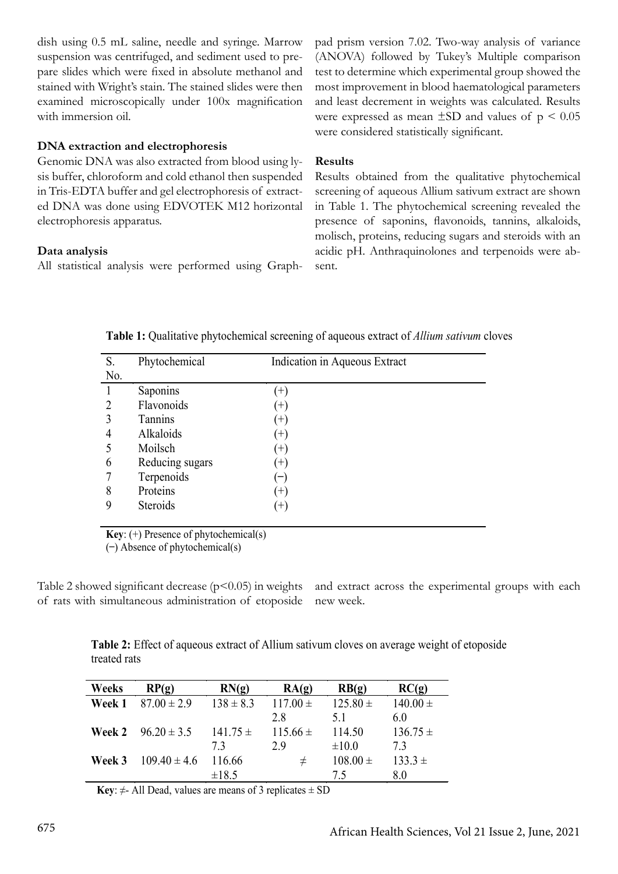dish using 0.5 mL saline, needle and syringe. Marrow suspension was centrifuged, and sediment used to prepare slides which were fixed in absolute methanol and stained with Wright's stain. The stained slides were then examined microscopically under 100x magnification with immersion oil.

# **DNA extraction and electrophoresis**

Genomic DNA was also extracted from blood using lysis buffer, chloroform and cold ethanol then suspended in Tris-EDTA buffer and gel electrophoresis of extracted DNA was done using EDVOTEK M12 horizontal electrophoresis apparatus.

#### **Data analysis**

All statistical analysis were performed using Graph-

pad prism version 7.02. Two-way analysis of variance (ANOVA) followed by Tukey's Multiple comparison test to determine which experimental group showed the most improvement in blood haematological parameters and least decrement in weights was calculated. Results were expressed as mean  $\pm$ SD and values of  $p \le 0.05$ were considered statistically significant.

# **Results**

Results obtained from the qualitative phytochemical screening of aqueous Allium sativum extract are shown in Table 1. The phytochemical screening revealed the presence of saponins, flavonoids, tannins, alkaloids, molisch, proteins, reducing sugars and steroids with an acidic pH. Anthraquinolones and terpenoids were absent.

| S.  | Phytochemical   | Indication in Aqueous Extract |
|-----|-----------------|-------------------------------|
| No. |                 |                               |
|     | Saponins        | $^{+}$                        |
|     | Flavonoids      | $^{+}$                        |
|     | Tannins         | $^{+}$                        |
|     | Alkaloids       | $^{(+)}$                      |
|     | Moilsch         | $(+)$                         |
| 6   | Reducing sugars | $(+)$                         |
|     | Terpenoids      |                               |
| 8   | Proteins        | $(+)$                         |
| 9   | Steroids        | $(+)$                         |
|     |                 |                               |

**Table 1:** Qualitative phytochemical screening of aqueous extract of *Allium sativum* cloves

**Key**: (+) Presence of phytochemical(s)

 $(-)$  Absence of phytochemical(s)

Table 2 showed significant decrease  $(p<0.05)$  in weights of rats with simultaneous administration of etoposide and extract across the experimental groups with each new week.

**Table 2:** Effect of aqueous extract of Allium sativum cloves on average weight of etoposide treated rats

| Weeks  | RP(g)                         | RN(g)         | RA(g)        | RB(g)        | RC(g)        |
|--------|-------------------------------|---------------|--------------|--------------|--------------|
| Week 1 | $87.00 \pm 2.9$               | $138 \pm 8.3$ | $117.00 \pm$ | $125.80 \pm$ | $140.00 \pm$ |
|        |                               |               | 28           | 51           | 60           |
|        | <b>Week 2</b> $96.20 \pm 3.5$ | $141.75 \pm$  | $115.66 \pm$ | 114.50       | $136.75 \pm$ |
|        |                               | 73            | 29           | $\pm 10.0$   | 73           |
| Week 3 | $109.40 \pm 4.6$              | 116.66        | $\pm$        | $108.00 \pm$ | $133.3 \pm$  |
|        |                               | $\pm 18.5$    |              | 75           | 80           |

**Key**:  $\neq$ - All Dead, values are means of 3 replicates  $\pm$  SD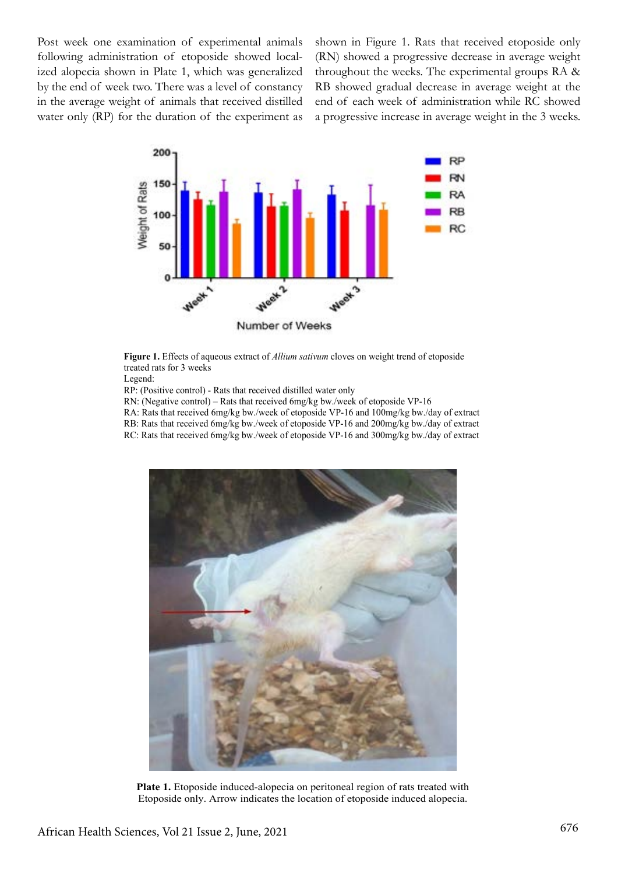Post week one examination of experimental animals following administration of etoposide showed localized alopecia shown in Plate 1, which was generalized by the end of week two. There was a level of constancy in the average weight of animals that received distilled water only (RP) for the duration of the experiment as shown in Figure 1. Rats that received etoposide only (RN) showed a progressive decrease in average weight throughout the weeks. The experimental groups RA & RB showed gradual decrease in average weight at the end of each week of administration while RC showed a progressive increase in average weight in the 3 weeks.



**Figure 1.** Effects of aqueous extract of *Allium sativum* cloves on weight trend of etoposide treated rats for 3 weeks

Legend:

- RP: (Positive control) Rats that received distilled water only
- RN: (Negative control) Rats that received 6mg/kg bw./week of etoposide VP-16
- RA: Rats that received 6mg/kg bw./week of etoposide VP-16 and 100mg/kg bw./day of extract
- RB: Rats that received 6mg/kg bw./week of etoposide VP-16 and 200mg/kg bw./day of extract
- RC: Rats that received 6mg/kg bw./week of etoposide VP-16 and 300mg/kg bw./day of extract



**Plate 1.** Etoposide induced-alopecia on peritoneal region of rats treated with Etoposide only. Arrow indicates the location of etoposide induced alopecia.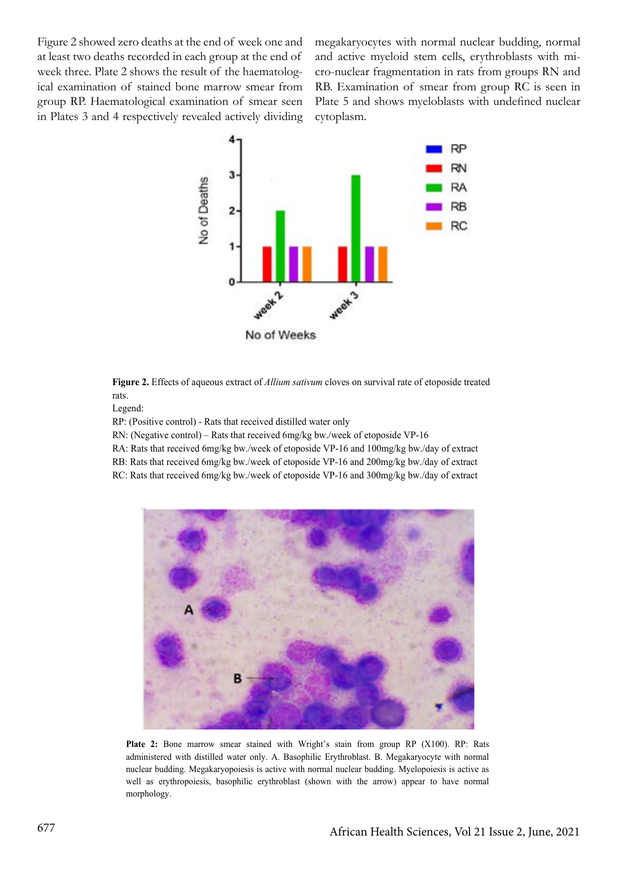Figure 2 showed zero deaths at the end of week one and at least two deaths recorded in each group at the end of week three. Plate 2 shows the result of the haematological examination of stained bone marrow smear from group RP. Haematological examination of smear seen in Plates 3 and 4 respectively revealed actively dividing

megakaryocytes with normal nuclear budding, normal and active myeloid stem cells, erythroblasts with micro-nuclear fragmentation in rats from groups RN and RB. Examination of smear from group RC is seen in Plate 5 and shows myeloblasts with undefined nuclear cytoplasm.



**Figure 2.** Effects of aqueous extract of *Allium sativum* cloves on survival rate of etoposide treated rats.

Legend:

RP: (Positive control) - Rats that received distilled water only

RN: (Negative control) – Rats that received 6mg/kg bw./week of etoposide VP-16

RA: Rats that received 6mg/kg bw./week of etoposide VP-16 and 100mg/kg bw./day of extract

RB: Rats that received 6mg/kg bw./week of etoposide VP-16 and 200mg/kg bw./day of extract

RC: Rats that received 6mg/kg bw./week of etoposide VP-16 and 300mg/kg bw./day of extract



**Plate 2:** Bone marrow smear stained with Wright's stain from group RP (X100). RP: Rats administered with distilled water only. A. Basophilic Erythroblast. B. Megakaryocyte with normal nuclear budding. Megakaryopoiesis is active with normal nuclear budding. Myelopoiesis is active as well as erythropoiesis, basophilic erythroblast (shown with the arrow) appear to have normal morphology.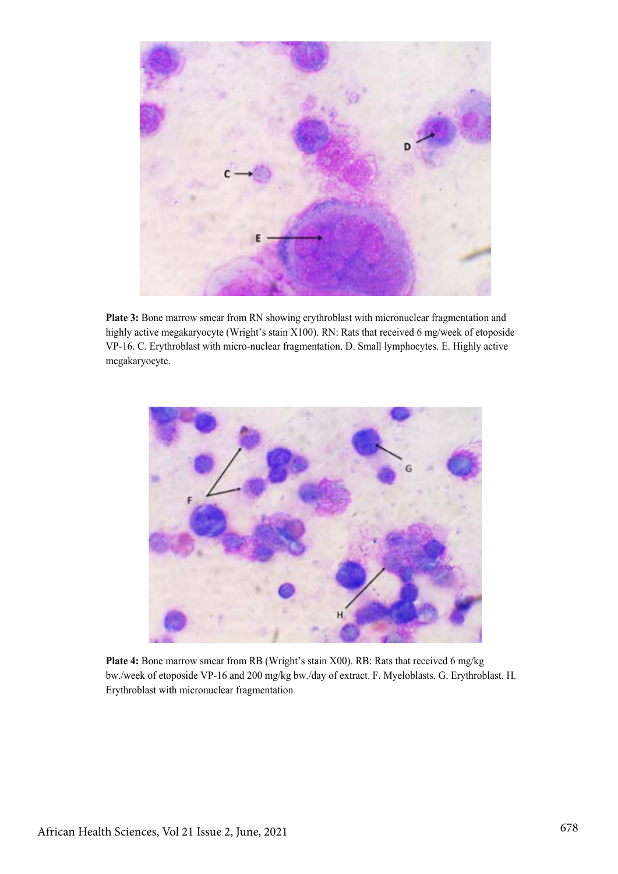

**Plate 3:** Bone marrow smear from RN showing erythroblast with micronuclear fragmentation and highly active megakaryocyte (Wright's stain X100). RN: Rats that received 6 mg/week of etoposide VP-16. C. Erythroblast with micro-nuclear fragmentation. D. Small lymphocytes. E. Highly active megakaryocyte.



**Plate 4:** Bone marrow smear from RB (Wright's stain X00). RB: Rats that received 6 mg/kg bw./week of etoposide VP-16 and 200 mg/kg bw./day of extract. F. Myeloblasts. G. Erythroblast. H. Erythroblast with micronuclear fragmentation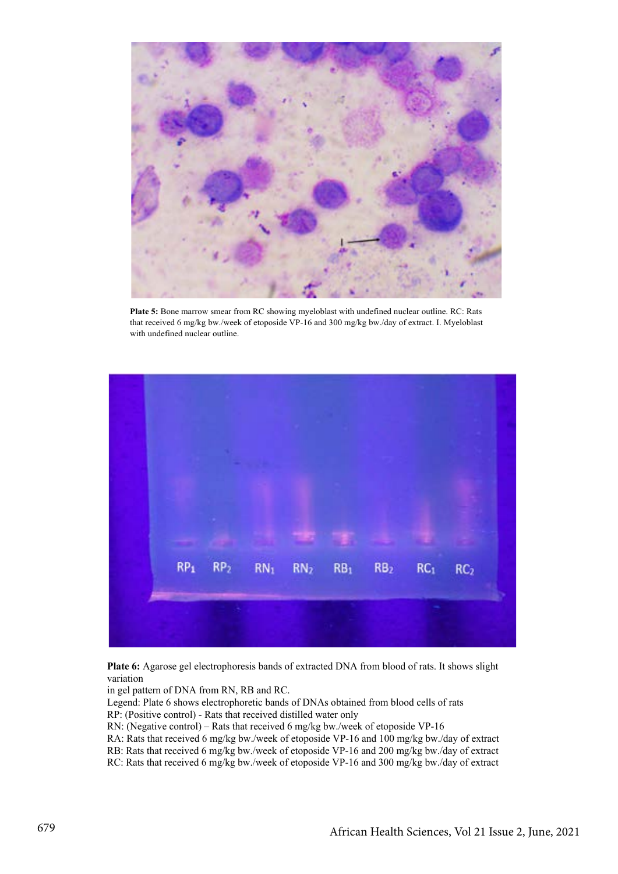![](_page_6_Picture_0.jpeg)

**Plate 5:** Bone marrow smear from RC showing myeloblast with undefined nuclear outline. RC: Rats that received 6 mg/kg bw./week of etoposide VP-16 and 300 mg/kg bw./day of extract. I. Myeloblast with undefined nuclear outline.

![](_page_6_Picture_2.jpeg)

**Plate 6:** Agarose gel electrophoresis bands of extracted DNA from blood of rats. It shows slight variation

in gel pattern of DNA from RN, RB and RC.

Legend: Plate 6 shows electrophoretic bands of DNAs obtained from blood cells of rats

- RP: (Positive control) Rats that received distilled water only
- RN: (Negative control) Rats that received 6 mg/kg bw./week of etoposide VP-16

RA: Rats that received 6 mg/kg bw./week of etoposide VP-16 and 100 mg/kg bw./day of extract

RB: Rats that received 6 mg/kg bw./week of etoposide VP-16 and 200 mg/kg bw./day of extract

RC: Rats that received 6 mg/kg bw./week of etoposide VP-16 and 300 mg/kg bw./day of extract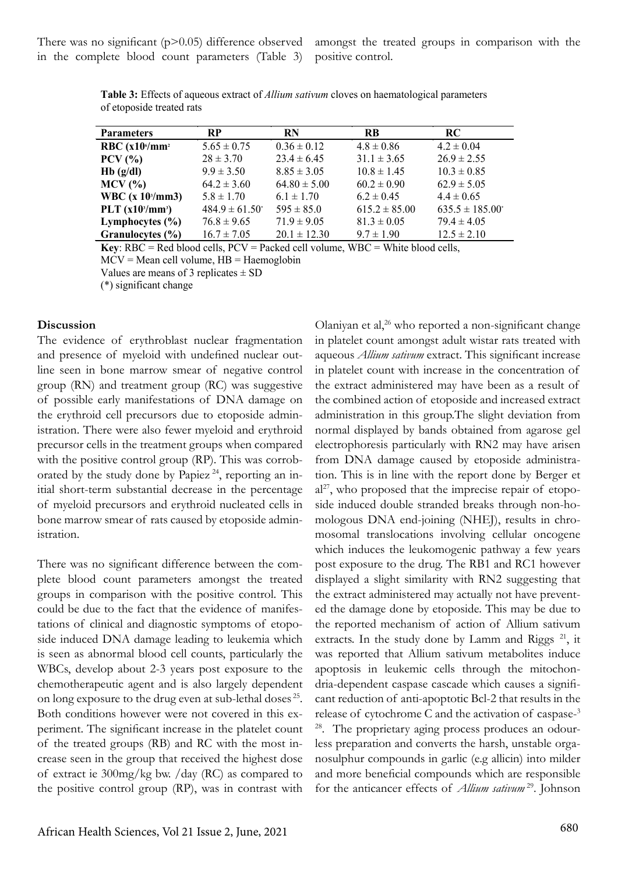There was no significant  $(p>0.05)$  difference observed in the complete blood count parameters (Table 3)

amongst the treated groups in comparison with the positive control.

| <b>Parameters</b>                | <b>RP</b>                      | <b>RN</b>        | <b>RB</b>         | RC.                  |
|----------------------------------|--------------------------------|------------------|-------------------|----------------------|
| RBC $(x10^6/\text{mm}^2)$        | $5.65 \pm 0.75$                | $0.36 \pm 0.12$  | $4.8 \pm 0.86$    | $4.2 \pm 0.04$       |
| $PCV$ $\left(\frac{9}{6}\right)$ | $28 \pm 3.70$                  | $23.4 \pm 6.45$  | $31.1 \pm 3.65$   | $26.9 \pm 2.55$      |
| $Hb$ (g/dl)                      | $9.9 \pm 3.50$                 | $8.85 \pm 3.05$  | $10.8 \pm 1.45$   | $10.3 \pm 0.85$      |
| $MCV$ $(\%$                      | $64.2 \pm 3.60$                | $64.80 \pm 5.00$ | $60.2 \pm 0.90$   | $62.9 \pm 5.05$      |
| WBC $(x 103/mm3)$                | $5.8 \pm 1.70$                 | $6.1 \pm 1.70$   | $6.2 \pm 0.45$    | $4.4 \pm 0.65$       |
| PLT $(x103/mm3)$                 | $484.9 \pm 61.50$ <sup>*</sup> | $595 \pm 85.0$   | $615.2 \pm 85.00$ | $635.5 \pm 185.00^*$ |
| Lymphocytes $(\% )$              | $76.8 \pm 9.65$                | $71.9 \pm 9.05$  | $81.3 \pm 0.05$   | $79.4 \pm 4.05$      |
| Granulocytes $(\% )$             | $16.7 \pm 7.05$                | $20.1 \pm 12.30$ | $9.7 \pm 1.90$    | $12.5 \pm 2.10$      |

**Table 3:** Effects of aqueous extract of *Allium sativum* cloves on haematological parameters of etoposide treated rats

**Key**: RBC = Red blood cells, PCV = Packed cell volume, WBC = White blood cells,  $MCV = Mean$  cell volume,  $HB = Ha$ emoglobin

Values are means of 3 replicates  $\pm$  SD

(\*) significant change

#### **Discussion**

The evidence of erythroblast nuclear fragmentation and presence of myeloid with undefined nuclear outline seen in bone marrow smear of negative control group (RN) and treatment group (RC) was suggestive of possible early manifestations of DNA damage on the erythroid cell precursors due to etoposide administration. There were also fewer myeloid and erythroid precursor cells in the treatment groups when compared with the positive control group (RP). This was corroborated by the study done by Papiez<sup>24</sup>, reporting an initial short-term substantial decrease in the percentage of myeloid precursors and erythroid nucleated cells in bone marrow smear of rats caused by etoposide administration.

There was no significant difference between the complete blood count parameters amongst the treated groups in comparison with the positive control. This could be due to the fact that the evidence of manifestations of clinical and diagnostic symptoms of etoposide induced DNA damage leading to leukemia which is seen as abnormal blood cell counts, particularly the WBCs, develop about 2-3 years post exposure to the chemotherapeutic agent and is also largely dependent on long exposure to the drug even at sub-lethal doses 25. Both conditions however were not covered in this experiment. The significant increase in the platelet count of the treated groups (RB) and RC with the most increase seen in the group that received the highest dose of extract ie 300mg/kg bw. /day (RC) as compared to the positive control group (RP), was in contrast with

Olaniyan et al,<sup>26</sup> who reported a non-significant change in platelet count amongst adult wistar rats treated with aqueous *Allium sativum* extract. This significant increase in platelet count with increase in the concentration of the extract administered may have been as a result of the combined action of etoposide and increased extract administration in this group.The slight deviation from normal displayed by bands obtained from agarose gel electrophoresis particularly with RN2 may have arisen from DNA damage caused by etoposide administration. This is in line with the report done by Berger et  $al<sup>27</sup>$ , who proposed that the imprecise repair of etoposide induced double stranded breaks through non-homologous DNA end-joining (NHEJ), results in chromosomal translocations involving cellular oncogene which induces the leukomogenic pathway a few years post exposure to the drug. The RB1 and RC1 however displayed a slight similarity with RN2 suggesting that the extract administered may actually not have prevented the damage done by etoposide. This may be due to the reported mechanism of action of Allium sativum extracts. In the study done by Lamm and Riggs  $21$ , it was reported that Allium sativum metabolites induce apoptosis in leukemic cells through the mitochondria-dependent caspase cascade which causes a significant reduction of anti-apoptotic Bcl-2 that results in the release of cytochrome C and the activation of caspase-3 28. The proprietary aging process produces an odourless preparation and converts the harsh, unstable organosulphur compounds in garlic (e.g allicin) into milder and more beneficial compounds which are responsible for the anticancer effects of *Allium sativum* 29. Johnson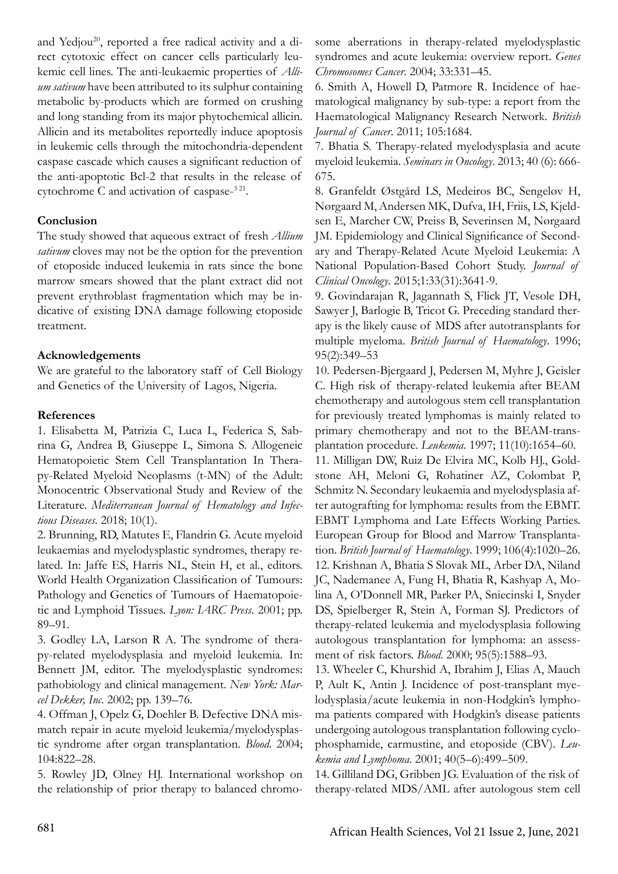and Yedjou<sup>20</sup>, reported a free radical activity and a direct cytotoxic effect on cancer cells particularly leukemic cell lines. The anti-leukaemic properties of *Allium sativum* have been attributed to its sulphur containing metabolic by-products which are formed on crushing and long standing from its major phytochemical allicin. Allicin and its metabolites reportedly induce apoptosis in leukemic cells through the mitochondria-dependent caspase cascade which causes a significant reduction of the anti-apoptotic Bcl-2 that results in the release of cytochrome C and activation of caspase-<sup>321</sup>.

# **Conclusion**

The study showed that aqueous extract of fresh *Allium sativum* cloves may not be the option for the prevention of etoposide induced leukemia in rats since the bone marrow smears showed that the plant extract did not prevent erythroblast fragmentation which may be indicative of existing DNA damage following etoposide treatment.

# **Acknowledgements**

We are grateful to the laboratory staff of Cell Biology and Genetics of the University of Lagos, Nigeria.

# **References**

1. Elisabetta M, Patrizia C, Luca L, Federica S, Sabrina G, Andrea B, Giuseppe L, Simona S. Allogeneic Hematopoietic Stem Cell Transplantation In Therapy-Related Myeloid Neoplasms (t-MN) of the Adult: Monocentric Observational Study and Review of the Literature. *Mediterranean Journal of Hematology and Infectious Diseases*. 2018; 10(1).

2. Brunning, RD, Matutes E, Flandrin G. Acute myeloid leukaemias and myelodysplastic syndromes, therapy related. In: Jaffe ES, Harris NL, Stein H, et al., editors. World Health Organization Classification of Tumours: Pathology and Genetics of Tumours of Haematopoietic and Lymphoid Tissues. *Lyon: IARC Press*. 2001; pp. 89–91.

3. Godley LA, Larson R A. The syndrome of therapy-related myelodysplasia and myeloid leukemia. In: Bennett JM, editor. The myelodysplastic syndromes: pathobiology and clinical management. *New York: Marcel Dekker, Inc*. 2002; pp. 139–76.

4. Offman J, Opelz G, Doehler B. Defective DNA mismatch repair in acute myeloid leukemia/myelodysplastic syndrome after organ transplantation. *Blood*. 2004; 104:822–28.

5. Rowley JD, Olney HJ. International workshop on the relationship of prior therapy to balanced chromosome aberrations in therapy-related myelodysplastic syndromes and acute leukemia: overview report. *Genes Chromosomes Cancer*. 2004; 33:331–45.

6. Smith A, Howell D, Patmore R. Incidence of haematological malignancy by sub-type: a report from the Haematological Malignancy Research Network. *British Journal of Cancer*. 2011; 105:1684.

7. Bhatia S. Therapy-related myelodysplasia and acute myeloid leukemia. *Seminars in Oncology*. 2013; 40 (6): 666- 675.

8. Granfeldt Østgård LS, Medeiros BC, Sengeløv H, Nørgaard M, Andersen MK, Dufva, IH, Friis, LS, Kjeldsen E, Marcher CW, Preiss B, Severinsen M, Nørgaard JM. Epidemiology and Clinical Significance of Secondary and Therapy-Related Acute Myeloid Leukemia: A National Population-Based Cohort Study. *Journal of Clinical Oncology*. 2015;1:33(31):3641-9.

9. Govindarajan R, Jagannath S, Flick JT, Vesole DH, Sawyer J, Barlogie B, Tricot G. Preceding standard therapy is the likely cause of MDS after autotransplants for multiple myeloma. *British Journal of Haematology*. 1996; 95(2):349–53

10. Pedersen-Bjergaard J, Pedersen M, Myhre J, Geisler C. High risk of therapy-related leukemia after BEAM chemotherapy and autologous stem cell transplantation for previously treated lymphomas is mainly related to primary chemotherapy and not to the BEAM-transplantation procedure. *Leukemia*. 1997; 11(10):1654–60.

11. Milligan DW, Ruiz De Elvira MC, Kolb HJ., Goldstone AH, Meloni G, Rohatiner AZ, Colombat P, Schmitz N. Secondary leukaemia and myelodysplasia after autografting for lymphoma: results from the EBMT. EBMT Lymphoma and Late Effects Working Parties. European Group for Blood and Marrow Transplantation. *British Journal of Haematology*. 1999; 106(4):1020–26. 12. Krishnan A, Bhatia S Slovak ML, Arber DA, Niland JC, Nademanee A, Fung H, Bhatia R, Kashyap A, Molina A, O'Donnell MR, Parker PA, Sniecinski I, Snyder DS, Spielberger R, Stein A, Forman SJ. Predictors of therapy-related leukemia and myelodysplasia following autologous transplantation for lymphoma: an assessment of risk factors. *Blood*. 2000; 95(5):1588–93.

13. Wheeler C, Khurshid A, Ibrahim J, Elias A, Mauch P, Ault K, Antin J. Incidence of post-transplant myelodysplasia/acute leukemia in non-Hodgkin's lymphoma patients compared with Hodgkin's disease patients undergoing autologous transplantation following cyclophosphamide, carmustine, and etoposide (CBV). *Leukemia and Lymphoma*. 2001; 40(5–6):499–509.

14. Gilliland DG, Gribben JG. Evaluation of the risk of therapy-related MDS/AML after autologous stem cell